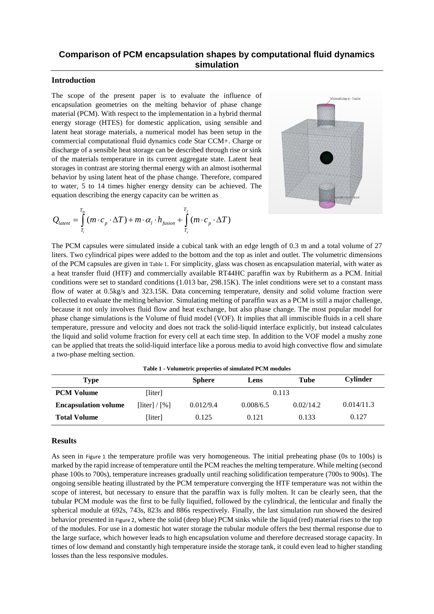## **Comparison of PCM encapsulation shapes by computational fluid dynamics simulation**

## **Introduction**

The scope of the present paper is to evaluate the influence of encapsulation geometries on the melting behavior of phase change material (PCM). With respect to the implementation in a hybrid thermal energy storage (HTES) for domestic application, using sensible and latent heat storage materials, a numerical model has been setup in the commercial computational fluid dynamics code Star CCM+. Charge or discharge of a sensible heat storage can be described through rise or sink of the materials temperature in its current aggregate state. Latent heat storages in contrast are storing thermal energy with an almost isothermal behavior by using latent heat of the phase change. Therefore, compared to water, 5 to 14 times higher energy density can be achieved. The

equation describing the energy capacity can be written as  
\n
$$
Q_{latent} = \int_{T_i}^{T_m} (m \cdot c_p \cdot \Delta T) + m \cdot \alpha_i \cdot h_{fusion} + \int_{T_s}^{T_f} (m \cdot c_p \cdot \Delta T)
$$



The PCM capsules were simulated inside a cubical tank with an edge length of 0.3 m and a total volume of 27 liters. Two cylindrical pipes were added to the bottom and the top as inlet and outlet. The volumetric dimensions of the PCM capsules are given in [Table 1](#page-0-0). For simplicity, glass was chosen as encapsulation material, with water as a heat transfer fluid (HTF) and commercially available RT44HC paraffin wax by Rubitherm as a PCM. Initial conditions were set to standard conditions (1.013 bar, 298.15K). The inlet conditions were set to a constant mass flow of water at 0.5kg/s and 323.15K. Data concerning temperature, density and solid volume fraction were collected to evaluate the melting behavior. Simulating melting of paraffin wax as a PCM is still a major challenge, because it not only involves fluid flow and heat exchange, but also phase change. The most popular model for phase change simulations is the Volume of fluid model (VOF). It implies that all immiscible fluids in a cell share temperature, pressure and velocity and does not track the solid-liquid interface explicitly, but instead calculates the liquid and solid volume fraction for every cell at each time step. In addition to the VOF model a mushy zone can be applied that treats the solid-liquid interface like a porous media to avoid high convective flow and simulate a two-phase melting section.

**Table 1 - Volumetric properties of simulated PCM modules**

<span id="page-0-0"></span>

| Type                        |                                            | <b>Sphere</b> | Lens      | Tube      | <b>Cylinder</b> |
|-----------------------------|--------------------------------------------|---------------|-----------|-----------|-----------------|
| <b>PCM Volume</b>           | [liter]                                    | 0.113         |           |           |                 |
| <b>Encapsulation volume</b> | $\lceil$ liter $\rceil / \lceil \% \rceil$ | 0.012/9.4     | 0.008/6.5 | 0.02/14.2 | 0.014/11.3      |
| <b>Total Volume</b>         | [liter]                                    | 0.125         | 0.121     | 0.133     | 0.127           |

## **Results**

As seen in [Figure 1](#page-1-0) the temperature profile was very homogeneous. The initial preheating phase (0s to 100s) is marked by the rapid increase of temperature until the PCM reaches the melting temperature. While melting (second phase 100s to 700s), temperature increases gradually until reaching solidification temperature (700s to 900s). The ongoing sensible heating illustrated by the PCM temperature converging the HTF temperature was not within the scope of interest, but necessary to ensure that the paraffin wax is fully molten. It can be clearly seen, that the tubular PCM module was the first to be fully liquified, followed by the cylindrical, the lenticular and finally the spherical module at 692s, 743s, 823s and 886s respectively. Finally, the last simulation run showed the desired behavior presented in [Figure 2](#page-1-1), where the solid (deep blue) PCM sinks while the liquid (red) material rises to the top of the modules. For use in a domestic hot water storage the tubular module offers the best thermal response due to the large surface, which however leads to high encapsulation volume and therefore decreased storage capacity. In times of low demand and constantly high temperature inside the storage tank, it could even lead to higher standing losses than the less responsive modules.